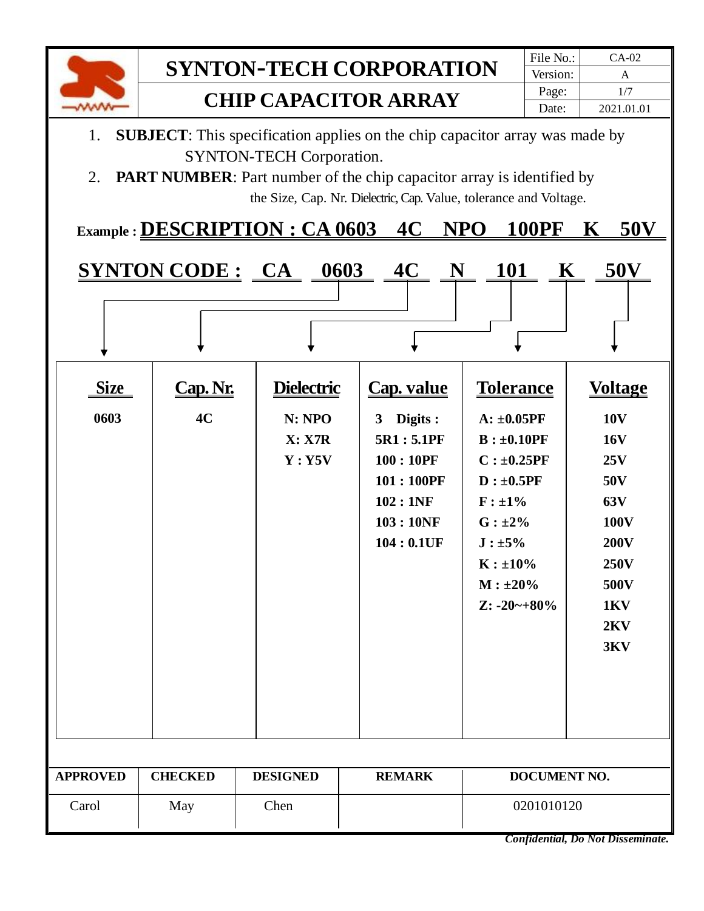

- 1. **SUBJECT**: This specification applies on the chip capacitor array was made by SYNTON-TECH Corporation.
- 2. **PART NUMBER**: Part number of the chip capacitor array is identified by the Size, Cap. Nr. Dielectric, Cap. Value, tolerance and Voltage.

|  | Example: DESCRIPTION: CA 0603 4C NPO 100PF K 50V |  |  |  |  |  |
|--|--------------------------------------------------|--|--|--|--|--|
|--|--------------------------------------------------|--|--|--|--|--|

|                     |              |                                                   | <u>SYNTON CODE: CA 0603 4C N 101 K 50V</u>                                                                                |                                                                                                                                                                                                       |                                                                                                                                           |
|---------------------|--------------|---------------------------------------------------|---------------------------------------------------------------------------------------------------------------------------|-------------------------------------------------------------------------------------------------------------------------------------------------------------------------------------------------------|-------------------------------------------------------------------------------------------------------------------------------------------|
|                     |              |                                                   |                                                                                                                           |                                                                                                                                                                                                       |                                                                                                                                           |
| <b>Size</b><br>0603 | Cap.M.<br>4C | <b>Dielectric</b><br>N: NPO<br>X: X7R<br>$Y:$ Y5V | <b>Cap. value</b><br>Digits :<br>3 <sup>1</sup><br>5R1:5.1PF<br>100:10PF<br>101:100PF<br>102:1NF<br>103:10NF<br>104:0.1UF | <b>Tolerance</b><br>$A: \pm 0.05PF$<br>$B: \pm 0.10PF$<br>$C: \pm 0.25$ PF<br>$D: \pm 0.5PF$<br>$F : \pm 1\%$<br>$G: \pm 2\%$<br>$J : \pm 5\%$<br>$K : \pm 10\%$<br>$M : \pm 20\%$<br>$Z: -20 - +80%$ | <b>Voltage</b><br><b>10V</b><br><b>16V</b><br>25V<br>50V<br>63V<br><b>100V</b><br><b>200V</b><br><b>250V</b><br>500V<br>1KV<br>2KV<br>3KV |
|                     |              |                                                   |                                                                                                                           |                                                                                                                                                                                                       |                                                                                                                                           |

| <b>APPROVED</b> | <b>CHECKED</b> | <b>DESIGNED</b> | <b>REMARK</b> | DOCUMENT NO. |
|-----------------|----------------|-----------------|---------------|--------------|
| Carol           | May            | Chen            |               | 0201010120   |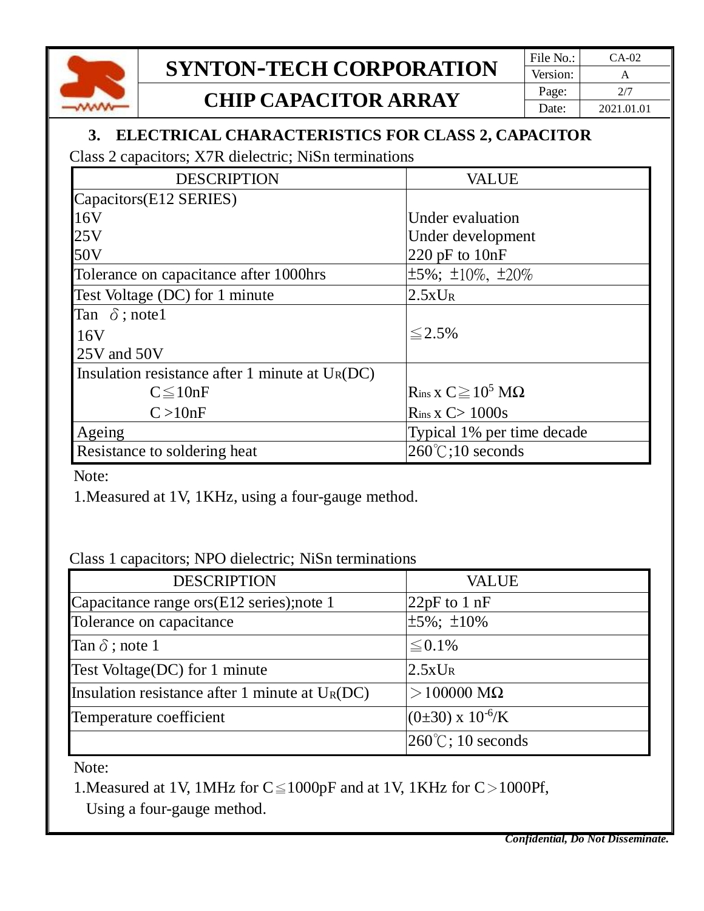

# **SYNTON-TECH CORPORATION** File No.: CA-02

### **CHIP CAPACITOR ARRAY**  $\begin{array}{|c|c|c|c|}\n\hline\n\text{Page:} & \text{2/7} \\
\hline\n\text{Date:} & \text{2021.01}\n\end{array}$

#### **3. ELECTRICAL CHARACTERISTICS FOR CLASS 2, CAPACITOR**

Class 2 capacitors; X7R dielectric; NiSn terminations

| <b>DESCRIPTION</b>                                | <b>VALUE</b>                        |
|---------------------------------------------------|-------------------------------------|
| Capacitors(E12 SERIES)                            |                                     |
| 16V                                               | Under evaluation                    |
| 25V                                               | Under development                   |
| 50V                                               | 220 pF to $10nF$                    |
| Tolerance on capacitance after 1000hrs            | $\pm 5\%$ ; $\pm 10\%$ , $\pm 20\%$ |
| Test Voltage (DC) for 1 minute                    | $2.5xU_R$                           |
| Tan $\delta$ ; note 1                             |                                     |
| 16V                                               | $\leq$ 2.5%                         |
| 25V and 50V                                       |                                     |
| Insulation resistance after 1 minute at $U_R(DC)$ |                                     |
| $C \leq 10nF$                                     | $R_{ins}$ x $C \ge 10^5$ M $\Omega$ |
| C > 10nF                                          | $R_{ins}$ x $C>1000s$               |
| Ageing                                            | Typical 1% per time decade          |
| Resistance to soldering heat                      | $260^{\circ}$ C;10 seconds          |

Note:

1.Measured at 1V, 1KHz, using a four-gauge method.

Class 1 capacitors; NPO dielectric; NiSn terminations

| <b>DESCRIPTION</b>                                | <b>VALUE</b>                |
|---------------------------------------------------|-----------------------------|
| Capacitance range ors(E12 series);note 1          | 22 $pF$ to 1 $nF$           |
| Tolerance on capacitance                          | $\pm 5\%$ ; $\pm 10\%$      |
| Tan $\delta$ ; note 1                             | $\leq 0.1\%$                |
| Test Voltage(DC) for 1 minute                     | $2.5xU_R$                   |
| Insulation resistance after 1 minute at $U_R(DC)$ | $>$ 100000 M $\Omega$       |
| Temperature coefficient                           | $(0\pm30)$ x $10^{-6}$ /K   |
|                                                   | $260^{\circ}$ C; 10 seconds |

Note:

1. Measured at 1V, 1 MHz for  $C \le 1000p$ F and at 1V, 1 KHz for  $C > 1000$ Pf,

Using a four-gauge method.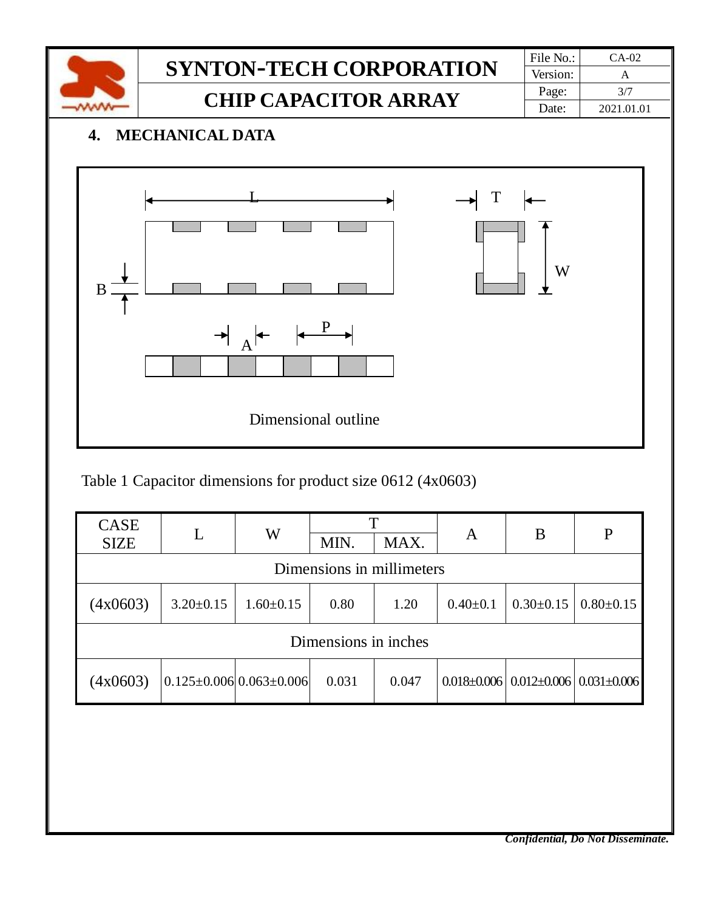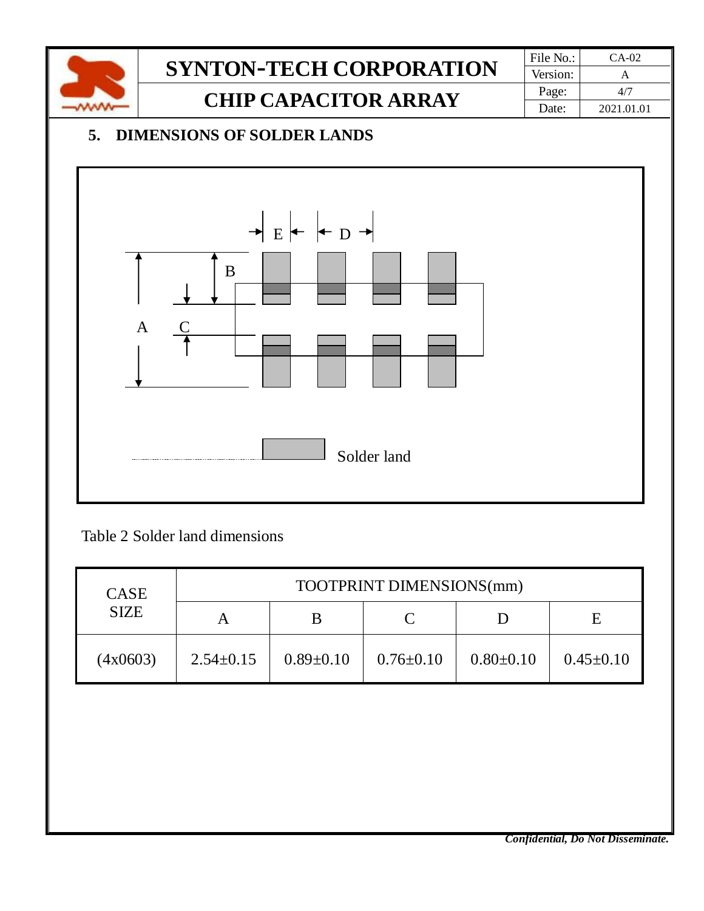

Table 2 Solder land dimensions

| <b>CASE</b> | TOOTPRINT DIMENSIONS(mm) |                 |                 |                 |                 |
|-------------|--------------------------|-----------------|-----------------|-----------------|-----------------|
| <b>SIZE</b> |                          |                 |                 |                 | E               |
| (4x0603)    | $2.54 \pm 0.15$          | $0.89 \pm 0.10$ | $0.76 \pm 0.10$ | $0.80 \pm 0.10$ | $0.45 \pm 0.10$ |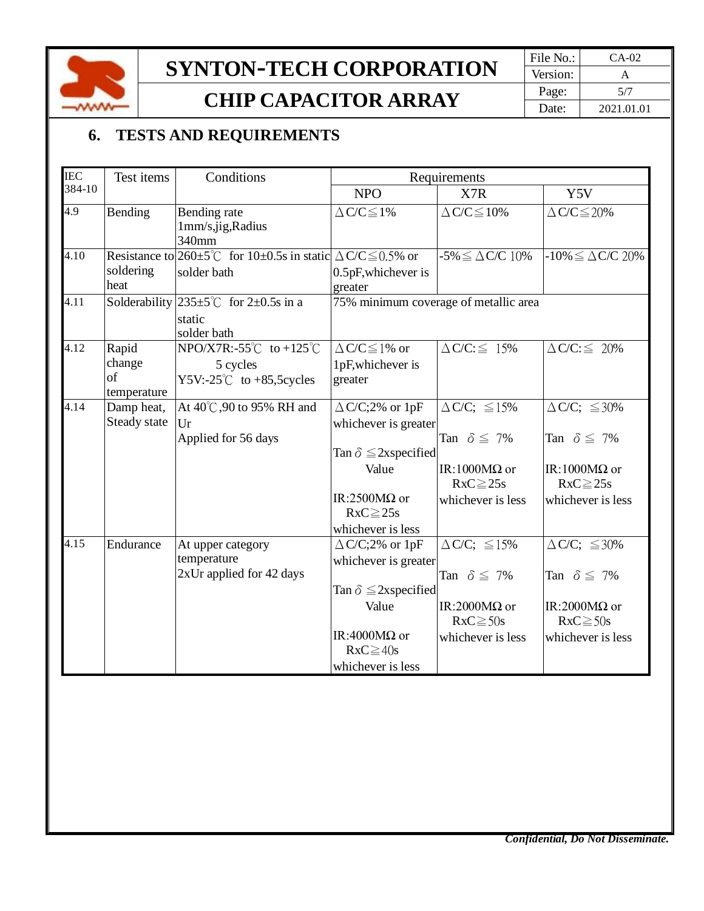

# **SYNTON-TECH CORPORATION** File No.: CA-02

### **CHIP CAPACITOR ARRAY**  $\begin{array}{|c|c|c|c|}\n\hline\n\text{Page:} & \text{5/7} \\
\hline\n\text{Date:} & \text{2021.01}\n\end{array}$

### **6. TESTS AND REQUIREMENTS**

| <b>IEC</b> | Test items                           | Conditions                                                                                        |                                                                                                                                        | Requirements                                                                                                     |                                                                                                                  |
|------------|--------------------------------------|---------------------------------------------------------------------------------------------------|----------------------------------------------------------------------------------------------------------------------------------------|------------------------------------------------------------------------------------------------------------------|------------------------------------------------------------------------------------------------------------------|
| 384-10     |                                      |                                                                                                   | <b>NPO</b>                                                                                                                             | X7R                                                                                                              | Y5V                                                                                                              |
| 4.9        | Bending                              | Bending rate<br>1mm/s,jig,Radius<br>340mm                                                         | $\Delta$ C/C $\leq$ 1%                                                                                                                 | $\Delta$ C/C $\leq$ 10%                                                                                          | $\Delta$ C/C $\leq$ 20%                                                                                          |
| 4.10       | soldering<br>heat                    | Resistance to $260 \pm 5^{\circ}$ for 10±0.5s in static $\Delta C/C \leq 0.5\%$ or<br>solder bath | 0.5pF, whichever is<br>greater                                                                                                         | $-5\% \leq \Delta$ C/C 10%                                                                                       | $-10\% \leq \Delta$ C/C 20%                                                                                      |
| 4.11       |                                      | Solderability $235 \pm 5^{\circ}$ for 2 $\pm 0.5$ s in a<br>static<br>solder bath                 |                                                                                                                                        | 75% minimum coverage of metallic area                                                                            |                                                                                                                  |
| 4.12       | Rapid<br>change<br>of<br>temperature | NPO/X7R:-55°C to +125°C<br>5 cycles<br>Y5V:- $25^{\circ}$ C to +85,5 cycles                       | $\Delta$ C/C $\leq$ 1% or<br>1pF, whichever is<br>greater                                                                              | $\Delta$ C/C: $\leq$ 15%                                                                                         | $\Delta$ C/C: $\leq$ 20%                                                                                         |
| 4.14       | Damp heat,<br>Steady state           | At 40°C,90 to 95% RH and<br>Ur<br>Applied for 56 days                                             | $\triangle$ C/C;2% or 1pF<br>whichever is greater<br>Tan $\delta \leq 2$ xspecified                                                    | $\Delta$ C/C; $\leq$ 15%<br>Tan $\delta \leq 7\%$                                                                | $\Delta$ C/C; $\leq$ 30%<br>Tan $\delta \leq 7\%$                                                                |
|            |                                      |                                                                                                   | Value<br>IR:2500 $M\Omega$ or<br>$RxC \ge 25s$<br>whichever is less                                                                    | IR:1000M $\Omega$ or<br>$RxC \ge 25s$<br>whichever is less                                                       | IR:1000M $\Omega$ or<br>$RxC \ge 25s$<br>whichever is less                                                       |
| 4.15       | Endurance                            | At upper category<br>temperature<br>2xUr applied for 42 days                                      | $\triangle$ C/C;2% or 1pF<br>whichever is greater<br>Tan $\delta \leq 2$ xspecified<br>Value<br>IR:4000M $\Omega$ or<br>$RxC \geq 40s$ | $\Delta$ C/C; $\leq$ 15%<br>Tan $\delta \leq 7\%$<br>IR:2000M $\Omega$ or<br>$RxC \geq 50s$<br>whichever is less | $\Delta$ C/C; $\leq$ 30%<br>Tan $\delta \leq 7\%$<br>IR:2000 $M\Omega$ or<br>$RxC \geq 50s$<br>whichever is less |
|            |                                      |                                                                                                   | whichever is less                                                                                                                      |                                                                                                                  |                                                                                                                  |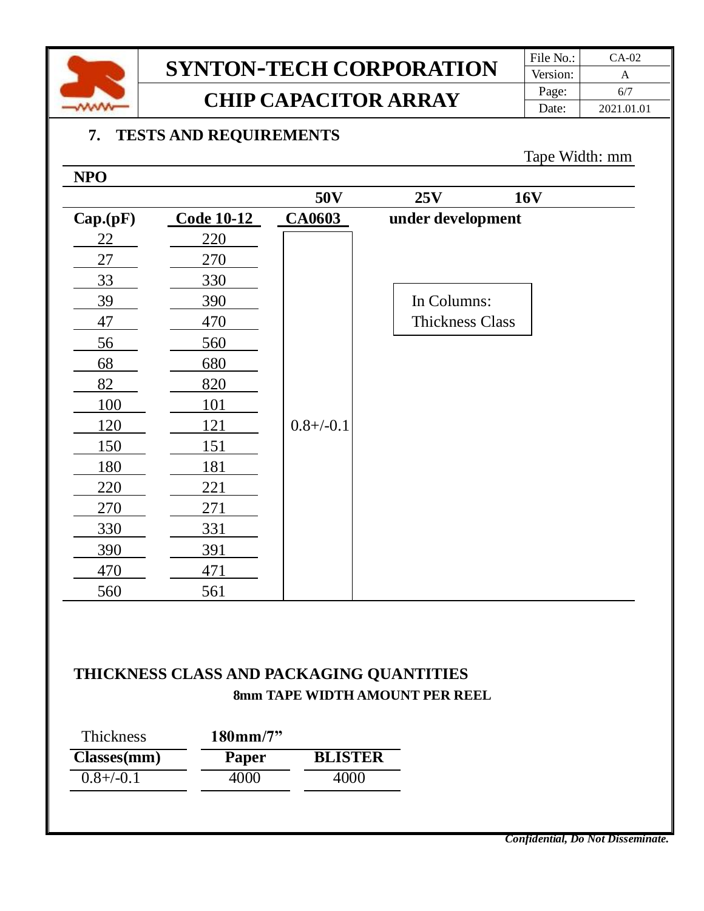

## **SYNTON-TECH CORPORATION** File No.: CA-02 **CHIP CAPACITOR ARRAY**  $\begin{array}{|c|c|c|c|}\n\hline\n\text{Page:} & \text{6/7} \\
\hline\n\text{Date:} & \text{2021.01}\n\end{array}$

#### **7. TESTS AND REQUIREMENTS**

#### Tape Width: mm

| <b>NPO</b> |                   |                |                        |
|------------|-------------------|----------------|------------------------|
|            |                   | 50V            | 25V<br><b>16V</b>      |
| Cap.(pF)   | <b>Code 10-12</b> | <b>CA0603</b>  | under development      |
| 22         | 220               |                |                        |
| 27         | 270               |                |                        |
| 33         | 330               |                |                        |
| 39         | 390               |                | In Columns:            |
| 47         | 470               |                | <b>Thickness Class</b> |
| 56         | 560               |                |                        |
| 68         | 680               |                |                        |
| 82         | 820               |                |                        |
| 100        | 101               |                |                        |
| 120        | 121               | $0.8 + (-0.1)$ |                        |
| 150        | 151               |                |                        |
| 180        | 181               |                |                        |
| 220        | 221               |                |                        |
| 270        | 271               |                |                        |
| 330        | 331               |                |                        |
| 390        | 391               |                |                        |
| 470        | 471               |                |                        |
| 560        | 561               |                |                        |

#### **THICKNESS CLASS AND PACKAGING QUANTITIES 8mm TAPE WIDTH AMOUNT PER REEL**

| Thickness      | $180 \,\mathrm{mm}/7"$ |                |
|----------------|------------------------|----------------|
| Classes(mm)    | Paper                  | <b>BLISTER</b> |
| $0.8 + (-0.1)$ | 4000                   | 4000           |